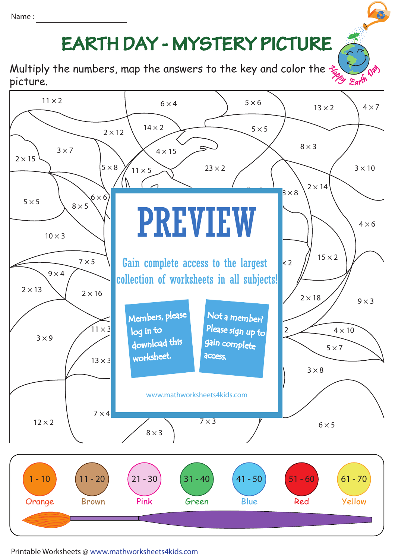## Name :

## **EARTH DAY - MYSTERY PICTURE**

Multiply the numbers, map the answers to the key and color the  $\hat{\mathcal{F}}$ picture.



Printable Worksheets @ www.mathworksheets4kids.com